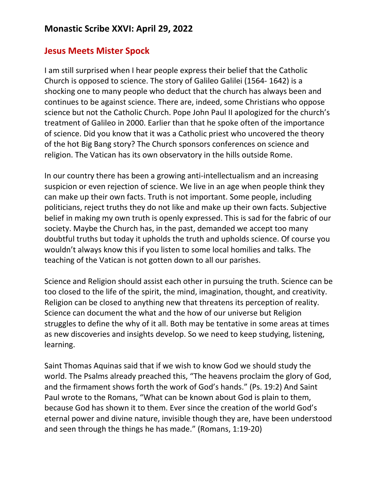## **Jesus Meets Mister Spock**

I am still surprised when I hear people express their belief that the Catholic Church is opposed to science. The story of Galileo Galilei (1564- 1642) is a shocking one to many people who deduct that the church has always been and continues to be against science. There are, indeed, some Christians who oppose science but not the Catholic Church. Pope John Paul II apologized for the church's treatment of Galileo in 2000. Earlier than that he spoke often of the importance of science. Did you know that it was a Catholic priest who uncovered the theory of the hot Big Bang story? The Church sponsors conferences on science and religion. The Vatican has its own observatory in the hills outside Rome.

In our country there has been a growing anti-intellectualism and an increasing suspicion or even rejection of science. We live in an age when people think they can make up their own facts. Truth is not important. Some people, including politicians, reject truths they do not like and make up their own facts. Subjective belief in making my own truth is openly expressed. This is sad for the fabric of our society. Maybe the Church has, in the past, demanded we accept too many doubtful truths but today it upholds the truth and upholds science. Of course you wouldn't always know this if you listen to some local homilies and talks. The teaching of the Vatican is not gotten down to all our parishes.

Science and Religion should assist each other in pursuing the truth. Science can be too closed to the life of the spirit, the mind, imagination, thought, and creativity. Religion can be closed to anything new that threatens its perception of reality. Science can document the what and the how of our universe but Religion struggles to define the why of it all. Both may be tentative in some areas at times as new discoveries and insights develop. So we need to keep studying, listening, learning.

Saint Thomas Aquinas said that if we wish to know God we should study the world. The Psalms already preached this, "The heavens proclaim the glory of God, and the firmament shows forth the work of God's hands." (Ps. 19:2) And Saint Paul wrote to the Romans, "What can be known about God is plain to them, because God has shown it to them. Ever since the creation of the world God's eternal power and divine nature, invisible though they are, have been understood and seen through the things he has made." (Romans, 1:19-20)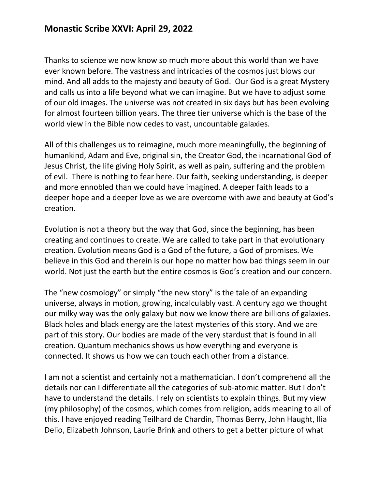## **Monastic Scribe XXVI: April 29, 2022**

Thanks to science we now know so much more about this world than we have ever known before. The vastness and intricacies of the cosmos just blows our mind. And all adds to the majesty and beauty of God. Our God is a great Mystery and calls us into a life beyond what we can imagine. But we have to adjust some of our old images. The universe was not created in six days but has been evolving for almost fourteen billion years. The three tier universe which is the base of the world view in the Bible now cedes to vast, uncountable galaxies.

All of this challenges us to reimagine, much more meaningfully, the beginning of humankind, Adam and Eve, original sin, the Creator God, the incarnational God of Jesus Christ, the life giving Holy Spirit, as well as pain, suffering and the problem of evil. There is nothing to fear here. Our faith, seeking understanding, is deeper and more ennobled than we could have imagined. A deeper faith leads to a deeper hope and a deeper love as we are overcome with awe and beauty at God's creation.

Evolution is not a theory but the way that God, since the beginning, has been creating and continues to create. We are called to take part in that evolutionary creation. Evolution means God is a God of the future, a God of promises. We believe in this God and therein is our hope no matter how bad things seem in our world. Not just the earth but the entire cosmos is God's creation and our concern.

The "new cosmology" or simply "the new story" is the tale of an expanding universe, always in motion, growing, incalculably vast. A century ago we thought our milky way was the only galaxy but now we know there are billions of galaxies. Black holes and black energy are the latest mysteries of this story. And we are part of this story. Our bodies are made of the very stardust that is found in all creation. Quantum mechanics shows us how everything and everyone is connected. It shows us how we can touch each other from a distance.

I am not a scientist and certainly not a mathematician. I don't comprehend all the details nor can I differentiate all the categories of sub-atomic matter. But I don't have to understand the details. I rely on scientists to explain things. But my view (my philosophy) of the cosmos, which comes from religion, adds meaning to all of this. I have enjoyed reading Teilhard de Chardin, Thomas Berry, John Haught, Ilia Delio, Elizabeth Johnson, Laurie Brink and others to get a better picture of what